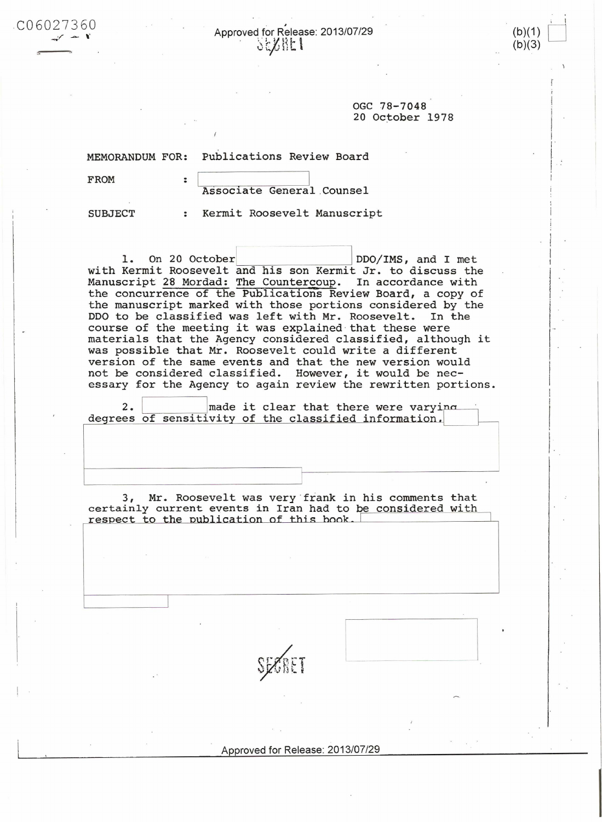Approved for Release: 2013/07/29 **SEXRET** 

> OGC 78-7048 20 October 1978

(b)(1)

 $(b)(3)$ 

MEMORANDUM FOR: Publications Review Board

 $\ddot{\phantom{a}}$ 

FROM

 $CO6027360$ 

Associate General Counsel

**SUBJECT** 

: Kermit Roosevelt Manuscript

On 20 October DDO/IMS, and I met  $\mathbf{1}$ . with Kermit Roosevelt and his son Kermit Jr. to discuss the Manuscript 28 Mordad: The Countercoup. In accordance with the concurrence of the Publications Review Board, a copy of the manuscript marked with those portions considered by the DDO to be classified was left with Mr. Roosevelt. In the course of the meeting it was explained that these were materials that the Agency considered classified, although it was possible that Mr. Roosevelt could write a different version of the same events and that the new version would not be considered classified. However, it would be necessary for the Agency to again review the rewritten portions.

 $2.$ made it clear that there were varying degrees of sensitivity of the classified information.

3, Mr. Roosevelt was very frank in his comments that certainly current events in Iran had to be considered with respect to the publication of this book.

Approved for Release: 2013/07/29